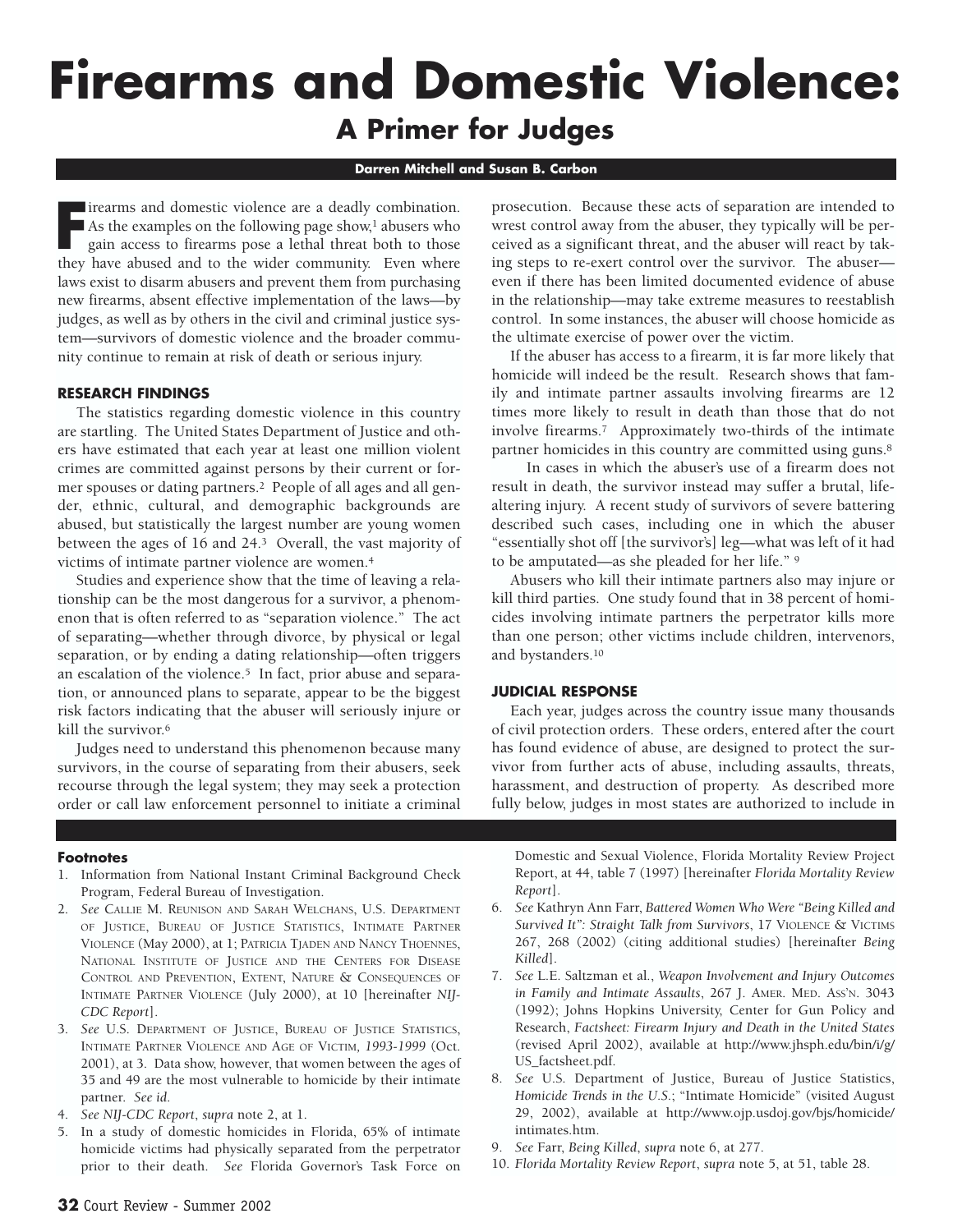# **Firearms and Domestic Violence: A Primer for Judges**

#### **Darren Mitchell and Susan B. Carbon**

**FR** irearms and domestic violence are a deadly combination.<br>As the examples on the following page show,<sup>1</sup> abusers who gain access to firearms pose a lethal threat both to those they have abused and to the wider community As the examples on the following page show,<sup>1</sup> abusers who gain access to firearms pose a lethal threat both to those they have abused and to the wider community. Even where laws exist to disarm abusers and prevent them from purchasing new firearms, absent effective implementation of the laws—by judges, as well as by others in the civil and criminal justice system—survivors of domestic violence and the broader community continue to remain at risk of death or serious injury.

#### **RESEARCH FINDINGS**

The statistics regarding domestic violence in this country are startling. The United States Department of Justice and others have estimated that each year at least one million violent crimes are committed against persons by their current or former spouses or dating partners.2 People of all ages and all gender, ethnic, cultural, and demographic backgrounds are abused, but statistically the largest number are young women between the ages of 16 and 24.3 Overall, the vast majority of victims of intimate partner violence are women.4

Studies and experience show that the time of leaving a relationship can be the most dangerous for a survivor, a phenomenon that is often referred to as "separation violence." The act of separating—whether through divorce, by physical or legal separation, or by ending a dating relationship—often triggers an escalation of the violence.<sup>5</sup> In fact, prior abuse and separation, or announced plans to separate, appear to be the biggest risk factors indicating that the abuser will seriously injure or kill the survivor.6

Judges need to understand this phenomenon because many survivors, in the course of separating from their abusers, seek recourse through the legal system; they may seek a protection order or call law enforcement personnel to initiate a criminal

prosecution. Because these acts of separation are intended to wrest control away from the abuser, they typically will be perceived as a significant threat, and the abuser will react by taking steps to re-exert control over the survivor. The abuser even if there has been limited documented evidence of abuse in the relationship—may take extreme measures to reestablish control. In some instances, the abuser will choose homicide as the ultimate exercise of power over the victim.

If the abuser has access to a firearm, it is far more likely that homicide will indeed be the result. Research shows that family and intimate partner assaults involving firearms are 12 times more likely to result in death than those that do not involve firearms.7 Approximately two-thirds of the intimate partner homicides in this country are committed using guns.<sup>8</sup>

In cases in which the abuser's use of a firearm does not result in death, the survivor instead may suffer a brutal, lifealtering injury. A recent study of survivors of severe battering described such cases, including one in which the abuser "essentially shot off [the survivor's] leg—what was left of it had to be amputated—as she pleaded for her life." 9

Abusers who kill their intimate partners also may injure or kill third parties. One study found that in 38 percent of homicides involving intimate partners the perpetrator kills more than one person; other victims include children, intervenors, and bystanders.10

## **JUDICIAL RESPONSE**

Each year, judges across the country issue many thousands of civil protection orders. These orders, entered after the court has found evidence of abuse, are designed to protect the survivor from further acts of abuse, including assaults, threats, harassment, and destruction of property. As described more fully below, judges in most states are authorized to include in

#### **Footnotes**

- 1. Information from National Instant Criminal Background Check Program, Federal Bureau of Investigation.
- 2. *See* CALLIE M. REUNISON AND SARAH WELCHANS, U.S. DEPARTMENT OF JUSTICE, BUREAU OF JUSTICE STATISTICS, INTIMATE PARTNER VIOLENCE (May 2000), at 1; PATRICIA TJADEN AND NANCY THOENNES, NATIONAL INSTITUTE OF JUSTICE AND THE CENTERS FOR DISEASE CONTROL AND PREVENTION, EXTENT, NATURE & CONSEQUENCES OF INTIMATE PARTNER VIOLENCE (July 2000), at 10 [hereinafter *NIJ-CDC Report*].
- 3. *See* U.S. DEPARTMENT OF JUSTICE, BUREAU OF JUSTICE STATISTICS, INTIMATE PARTNER VIOLENCE AND AGE OF VICTIM*, 1993-1999* (Oct. 2001), at 3. Data show, however, that women between the ages of 35 and 49 are the most vulnerable to homicide by their intimate partner. *See id*.
- 4. *See NIJ-CDC Report*, *supra* note 2, at 1.
- 5. In a study of domestic homicides in Florida, 65% of intimate homicide victims had physically separated from the perpetrator prior to their death. *See* Florida Governor's Task Force on

Domestic and Sexual Violence, Florida Mortality Review Project Report, at 44, table 7 (1997) [hereinafter *Florida Mortality Review Report*].

- 6. *See* Kathryn Ann Farr, *Battered Women Who Were "Being Killed and Survived It": Straight Talk from Survivors*, 17 VIOLENCE & VICTIMS 267, 268 (2002) (citing additional studies) [hereinafter *Being Killed*].
- 7. *See* L.E. Saltzman et al*.*, *Weapon Involvement and Injury Outcomes in Family and Intimate Assaults*, 267 J. AMER. MED. ASS'N. 3043 (1992); Johns Hopkins University, Center for Gun Policy and Research, *Factsheet: Firearm Injury and Death in the United States* (revised April 2002), available at http://www.jhsph.edu/bin/i/g/ US\_factsheet.pdf.
- 8. *See* U.S. Department of Justice, Bureau of Justice Statistics, *Homicide Trends in the U.S.*; "Intimate Homicide" (visited August 29, 2002), available at http://www.ojp.usdoj.gov/bjs/homicide/ intimates.htm.
- 9. *See* Farr, *Being Killed*, *supra* note 6, at 277.
- 10. *Florida Mortality Review Report*, *supra* note 5, at 51, table 28.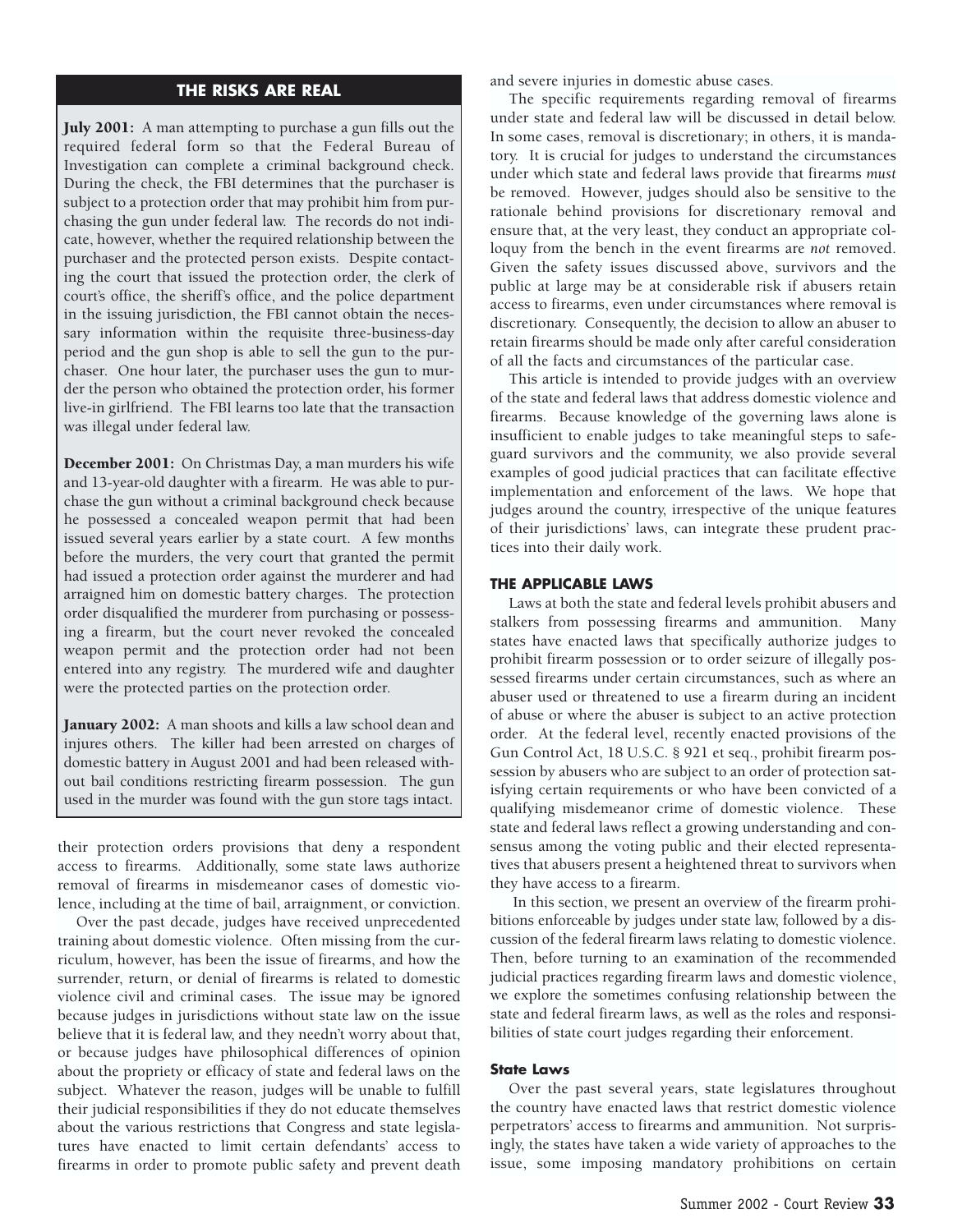# **THE RISKS ARE REAL**

July 2001: A man attempting to purchase a gun fills out the required federal form so that the Federal Bureau of Investigation can complete a criminal background check. During the check, the FBI determines that the purchaser is subject to a protection order that may prohibit him from purchasing the gun under federal law. The records do not indicate, however, whether the required relationship between the purchaser and the protected person exists. Despite contacting the court that issued the protection order, the clerk of court's office, the sheriff's office, and the police department in the issuing jurisdiction, the FBI cannot obtain the necessary information within the requisite three-business-day period and the gun shop is able to sell the gun to the purchaser. One hour later, the purchaser uses the gun to murder the person who obtained the protection order, his former live-in girlfriend. The FBI learns too late that the transaction was illegal under federal law.

December 2001: On Christmas Day, a man murders his wife and 13-year-old daughter with a firearm. He was able to purchase the gun without a criminal background check because he possessed a concealed weapon permit that had been issued several years earlier by a state court. A few months before the murders, the very court that granted the permit had issued a protection order against the murderer and had arraigned him on domestic battery charges. The protection order disqualified the murderer from purchasing or possessing a firearm, but the court never revoked the concealed weapon permit and the protection order had not been entered into any registry. The murdered wife and daughter were the protected parties on the protection order.

January 2002: A man shoots and kills a law school dean and injures others. The killer had been arrested on charges of domestic battery in August 2001 and had been released without bail conditions restricting firearm possession. The gun used in the murder was found with the gun store tags intact.

their protection orders provisions that deny a respondent access to firearms. Additionally, some state laws authorize removal of firearms in misdemeanor cases of domestic violence, including at the time of bail, arraignment, or conviction.

Over the past decade, judges have received unprecedented training about domestic violence. Often missing from the curriculum, however, has been the issue of firearms, and how the surrender, return, or denial of firearms is related to domestic violence civil and criminal cases. The issue may be ignored because judges in jurisdictions without state law on the issue believe that it is federal law, and they needn't worry about that, or because judges have philosophical differences of opinion about the propriety or efficacy of state and federal laws on the subject. Whatever the reason, judges will be unable to fulfill their judicial responsibilities if they do not educate themselves about the various restrictions that Congress and state legislatures have enacted to limit certain defendants' access to firearms in order to promote public safety and prevent death

and severe injuries in domestic abuse cases.

The specific requirements regarding removal of firearms under state and federal law will be discussed in detail below. In some cases, removal is discretionary; in others, it is mandatory. It is crucial for judges to understand the circumstances under which state and federal laws provide that firearms *must* be removed. However, judges should also be sensitive to the rationale behind provisions for discretionary removal and ensure that, at the very least, they conduct an appropriate colloquy from the bench in the event firearms are *not* removed. Given the safety issues discussed above, survivors and the public at large may be at considerable risk if abusers retain access to firearms, even under circumstances where removal is discretionary. Consequently, the decision to allow an abuser to retain firearms should be made only after careful consideration of all the facts and circumstances of the particular case.

This article is intended to provide judges with an overview of the state and federal laws that address domestic violence and firearms. Because knowledge of the governing laws alone is insufficient to enable judges to take meaningful steps to safeguard survivors and the community, we also provide several examples of good judicial practices that can facilitate effective implementation and enforcement of the laws. We hope that judges around the country, irrespective of the unique features of their jurisdictions' laws, can integrate these prudent practices into their daily work.

## **THE APPLICABLE LAWS**

Laws at both the state and federal levels prohibit abusers and stalkers from possessing firearms and ammunition. Many states have enacted laws that specifically authorize judges to prohibit firearm possession or to order seizure of illegally possessed firearms under certain circumstances, such as where an abuser used or threatened to use a firearm during an incident of abuse or where the abuser is subject to an active protection order. At the federal level, recently enacted provisions of the Gun Control Act, 18 U.S.C. § 921 et seq., prohibit firearm possession by abusers who are subject to an order of protection satisfying certain requirements or who have been convicted of a qualifying misdemeanor crime of domestic violence. These state and federal laws reflect a growing understanding and consensus among the voting public and their elected representatives that abusers present a heightened threat to survivors when they have access to a firearm.

In this section, we present an overview of the firearm prohibitions enforceable by judges under state law, followed by a discussion of the federal firearm laws relating to domestic violence. Then, before turning to an examination of the recommended judicial practices regarding firearm laws and domestic violence, we explore the sometimes confusing relationship between the state and federal firearm laws, as well as the roles and responsibilities of state court judges regarding their enforcement.

## **State Laws**

Over the past several years, state legislatures throughout the country have enacted laws that restrict domestic violence perpetrators' access to firearms and ammunition. Not surprisingly, the states have taken a wide variety of approaches to the issue, some imposing mandatory prohibitions on certain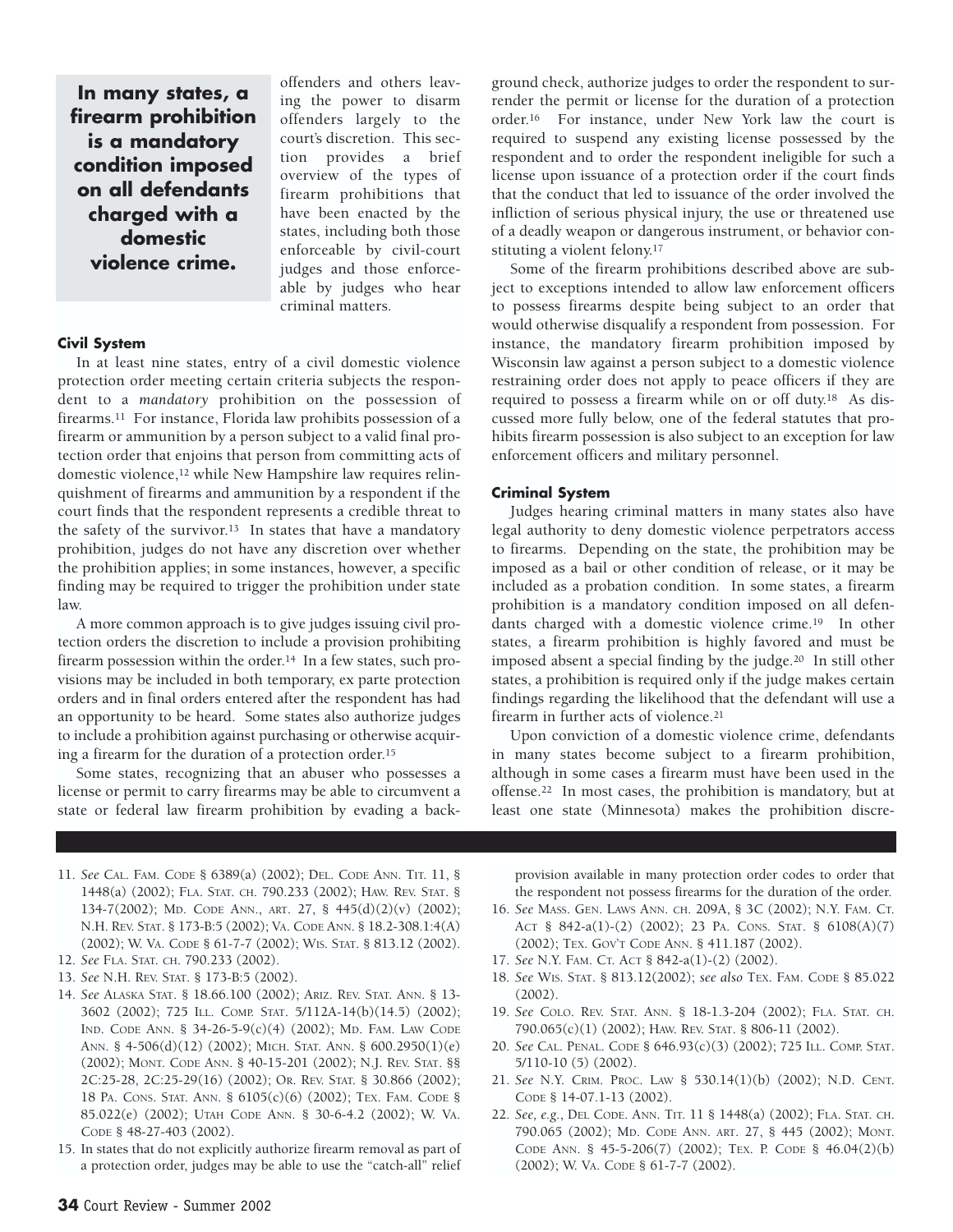**In many states, a firearm prohibition is a mandatory condition imposed on all defendants charged with a domestic violence crime.**

#### **Civil System**

In at least nine states, entry of a civil domestic violence protection order meeting certain criteria subjects the respondent to a *mandatory* prohibition on the possession of firearms.11 For instance, Florida law prohibits possession of a firearm or ammunition by a person subject to a valid final protection order that enjoins that person from committing acts of domestic violence,12 while New Hampshire law requires relinquishment of firearms and ammunition by a respondent if the court finds that the respondent represents a credible threat to the safety of the survivor.13 In states that have a mandatory prohibition, judges do not have any discretion over whether the prohibition applies; in some instances, however, a specific finding may be required to trigger the prohibition under state law.

offenders and others leaving the power to disarm offenders largely to the court's discretion. This section provides a brief overview of the types of firearm prohibitions that have been enacted by the states, including both those enforceable by civil-court judges and those enforceable by judges who hear

criminal matters.

A more common approach is to give judges issuing civil protection orders the discretion to include a provision prohibiting firearm possession within the order.14 In a few states, such provisions may be included in both temporary, ex parte protection orders and in final orders entered after the respondent has had an opportunity to be heard. Some states also authorize judges to include a prohibition against purchasing or otherwise acquiring a firearm for the duration of a protection order.15

Some states, recognizing that an abuser who possesses a license or permit to carry firearms may be able to circumvent a state or federal law firearm prohibition by evading a background check, authorize judges to order the respondent to surrender the permit or license for the duration of a protection order.16 For instance, under New York law the court is required to suspend any existing license possessed by the respondent and to order the respondent ineligible for such a license upon issuance of a protection order if the court finds that the conduct that led to issuance of the order involved the infliction of serious physical injury, the use or threatened use of a deadly weapon or dangerous instrument, or behavior constituting a violent felony.17

Some of the firearm prohibitions described above are subject to exceptions intended to allow law enforcement officers to possess firearms despite being subject to an order that would otherwise disqualify a respondent from possession. For instance, the mandatory firearm prohibition imposed by Wisconsin law against a person subject to a domestic violence restraining order does not apply to peace officers if they are required to possess a firearm while on or off duty.18 As discussed more fully below, one of the federal statutes that prohibits firearm possession is also subject to an exception for law enforcement officers and military personnel.

# **Criminal System**

Judges hearing criminal matters in many states also have legal authority to deny domestic violence perpetrators access to firearms. Depending on the state, the prohibition may be imposed as a bail or other condition of release, or it may be included as a probation condition. In some states, a firearm prohibition is a mandatory condition imposed on all defendants charged with a domestic violence crime.19 In other states, a firearm prohibition is highly favored and must be imposed absent a special finding by the judge.20 In still other states, a prohibition is required only if the judge makes certain findings regarding the likelihood that the defendant will use a firearm in further acts of violence.21

Upon conviction of a domestic violence crime, defendants in many states become subject to a firearm prohibition, although in some cases a firearm must have been used in the offense.22 In most cases, the prohibition is mandatory, but at least one state (Minnesota) makes the prohibition discre-

- 11. *See* CAL. FAM. CODE § 6389(a) (2002); DEL. CODE ANN. TIT. 11, § 1448(a) (2002); FLA. STAT. CH. 790.233 (2002); HAW. REV. STAT. § 134-7(2002); MD. CODE ANN., ART. 27, § 445(d)(2)(v) (2002); N.H. REV. STAT. § 173-B:5 (2002); VA. CODE ANN. § 18.2-308.1:4(A) (2002); W. VA. CODE § 61-7-7 (2002); WIS. STAT. § 813.12 (2002).
- 12. *See* FLA. STAT. CH. 790.233 (2002).
- 13. *See* N.H. REV. STAT. § 173-B:5 (2002).
- 14. *See* ALASKA STAT. § 18.66.100 (2002); ARIZ. REV. STAT. ANN. § 13- 3602 (2002); 725 ILL. COMP. STAT. 5/112A-14(b)(14.5) (2002); IND. CODE ANN. § 34-26-5-9(c)(4) (2002); MD. FAM. LAW CODE ANN. § 4-506(d)(12) (2002); MICH. STAT. ANN. § 600.2950(1)(e) (2002); MONT. CODE ANN. § 40-15-201 (2002); N.J. REV. STAT. §§ 2C:25-28, 2C:25-29(16) (2002); OR. REV. STAT. § 30.866 (2002); 18 PA. CONS. STAT. ANN. § 6105(c)(6) (2002); TEX. FAM. CODE § 85.022(e) (2002); UTAH CODE ANN. § 30-6-4.2 (2002); W. VA. CODE § 48-27-403 (2002).
- 15. In states that do not explicitly authorize firearm removal as part of a protection order, judges may be able to use the "catch-all" relief

provision available in many protection order codes to order that the respondent not possess firearms for the duration of the order.

- 16. *See* MASS. GEN. LAWS ANN. CH. 209A, § 3C (2002); N.Y. FAM. CT. ACT § 842-a(1)-(2) (2002); 23 PA. CONS. STAT. § 6108(A)(7) (2002); TEX. GOV'T CODE ANN. § 411.187 (2002).
- 17. *See* N.Y. FAM. CT. ACT § 842-a(1)-(2) (2002).
- 18. *See* WIS. STAT. § 813.12(2002); *see also* TEX. FAM. CODE § 85.022 (2002).
- 19. *See* COLO. REV. STAT. ANN. § 18-1.3-204 (2002); FLA. STAT. CH. 790.065(c)(1) (2002); HAW. REV. STAT. § 806-11 (2002).
- 20. *See* CAL. PENAL. CODE § 646.93(c)(3) (2002); 725 ILL. COMP. STAT. 5/110-10 (5) (2002).
- 21. *See* N.Y. CRIM. PROC. LAW § 530.14(1)(b) (2002); N.D. CENT. CODE § 14-07.1-13 (2002).
- 22. *See, e.g.*, DEL CODE. ANN. TIT. 11 § 1448(a) (2002); FLA. STAT. CH. 790.065 (2002); MD. CODE ANN. ART. 27, § 445 (2002); MONT. CODE ANN. § 45-5-206(7) (2002); TEX. P. CODE § 46.04(2)(b) (2002); W. VA. CODE § 61-7-7 (2002).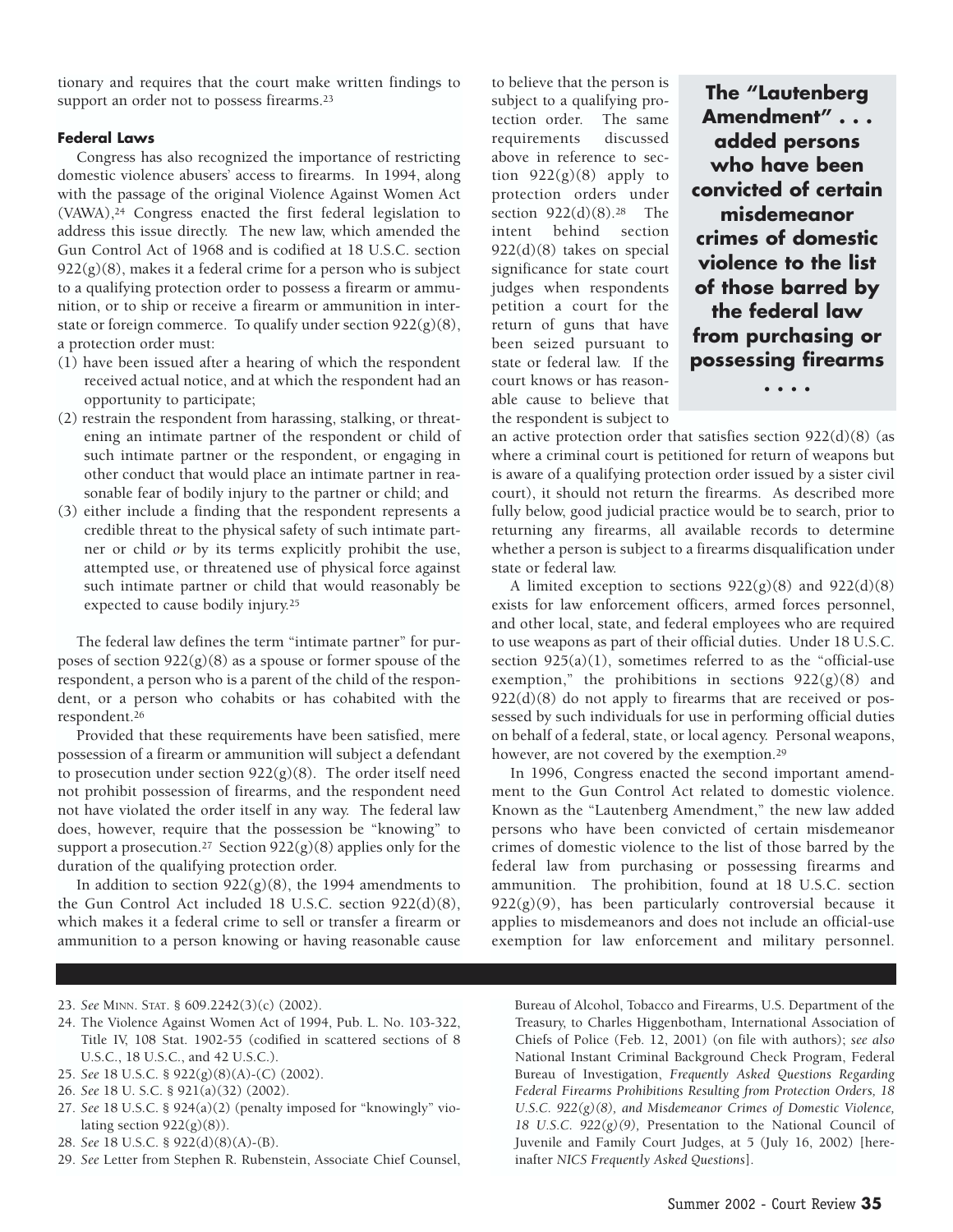tionary and requires that the court make written findings to support an order not to possess firearms.<sup>23</sup>

## **Federal Laws**

Congress has also recognized the importance of restricting domestic violence abusers' access to firearms. In 1994, along with the passage of the original Violence Against Women Act (VAWA),24 Congress enacted the first federal legislation to address this issue directly. The new law, which amended the Gun Control Act of 1968 and is codified at 18 U.S.C. section  $922(g)(8)$ , makes it a federal crime for a person who is subject to a qualifying protection order to possess a firearm or ammunition, or to ship or receive a firearm or ammunition in interstate or foreign commerce. To qualify under section 922(g)(8), a protection order must:

- (1) have been issued after a hearing of which the respondent received actual notice, and at which the respondent had an opportunity to participate;
- (2) restrain the respondent from harassing, stalking, or threatening an intimate partner of the respondent or child of such intimate partner or the respondent, or engaging in other conduct that would place an intimate partner in reasonable fear of bodily injury to the partner or child; and
- (3) either include a finding that the respondent represents a credible threat to the physical safety of such intimate partner or child *or* by its terms explicitly prohibit the use, attempted use, or threatened use of physical force against such intimate partner or child that would reasonably be expected to cause bodily injury.25

The federal law defines the term "intimate partner" for purposes of section  $922(g)(8)$  as a spouse or former spouse of the respondent, a person who is a parent of the child of the respondent, or a person who cohabits or has cohabited with the respondent.26

Provided that these requirements have been satisfied, mere possession of a firearm or ammunition will subject a defendant to prosecution under section  $922(g)(8)$ . The order itself need not prohibit possession of firearms, and the respondent need not have violated the order itself in any way. The federal law does, however, require that the possession be "knowing" to support a prosecution.<sup>27</sup> Section  $922(g)(8)$  applies only for the duration of the qualifying protection order.

In addition to section  $922(g)(8)$ , the 1994 amendments to the Gun Control Act included 18 U.S.C. section 922(d)(8), which makes it a federal crime to sell or transfer a firearm or ammunition to a person knowing or having reasonable cause to believe that the person is subject to a qualifying protection order. The same requirements discussed above in reference to section  $922(g)(8)$  apply to protection orders under section 922(d)(8).28 The intent behind section 922(d)(8) takes on special significance for state court judges when respondents petition a court for the return of guns that have been seized pursuant to state or federal law. If the court knows or has reasonable cause to believe that the respondent is subject to

**The "Lautenberg Amendment" . . . added persons who have been convicted of certain misdemeanor crimes of domestic violence to the list of those barred by the federal law from purchasing or possessing firearms**

**. . . .**

an active protection order that satisfies section 922(d)(8) (as where a criminal court is petitioned for return of weapons but is aware of a qualifying protection order issued by a sister civil court), it should not return the firearms. As described more fully below, good judicial practice would be to search, prior to returning any firearms, all available records to determine whether a person is subject to a firearms disqualification under state or federal law.

A limited exception to sections 922(g)(8) and 922(d)(8) exists for law enforcement officers, armed forces personnel, and other local, state, and federal employees who are required to use weapons as part of their official duties. Under 18 U.S.C. section  $925(a)(1)$ , sometimes referred to as the "official-use" exemption," the prohibitions in sections  $922(g)(8)$  and 922(d)(8) do not apply to firearms that are received or possessed by such individuals for use in performing official duties on behalf of a federal, state, or local agency. Personal weapons, however, are not covered by the exemption.29

In 1996, Congress enacted the second important amendment to the Gun Control Act related to domestic violence. Known as the "Lautenberg Amendment," the new law added persons who have been convicted of certain misdemeanor crimes of domestic violence to the list of those barred by the federal law from purchasing or possessing firearms and ammunition. The prohibition, found at 18 U.S.C. section  $922(g)(9)$ , has been particularly controversial because it applies to misdemeanors and does not include an official-use exemption for law enforcement and military personnel.

- 24. The Violence Against Women Act of 1994, Pub. L. No. 103-322, Title IV, 108 Stat. 1902-55 (codified in scattered sections of 8 U.S.C., 18 U.S.C., and 42 U.S.C.).
- 25. *See* 18 U.S.C. § 922(g)(8)(A)-(C) (2002).
- 26. *See* 18 U. S.C. § 921(a)(32) (2002).
- 27. *See* 18 U.S.C. § 924(a)(2) (penalty imposed for "knowingly" violating section  $922(g)(8)$ ).
- 28. *See* 18 U.S.C. § 922(d)(8)(A)-(B).
- 29. *See* Letter from Stephen R. Rubenstein, Associate Chief Counsel,

Bureau of Alcohol, Tobacco and Firearms, U.S. Department of the Treasury, to Charles Higgenbotham, International Association of Chiefs of Police (Feb. 12, 2001) (on file with authors); *see also* National Instant Criminal Background Check Program, Federal Bureau of Investigation, *Frequently Asked Questions Regarding Federal Firearms Prohibitions Resulting from Protection Orders, 18 U.S.C. 922(g)(8), and Misdemeanor Crimes of Domestic Violence, 18 U.S.C. 922(g)(9),* Presentation to the National Council of Juvenile and Family Court Judges, at 5 (July 16, 2002) [hereinafter *NICS Frequently Asked Questions*].

<sup>23.</sup> *See* MINN. STAT. § 609.2242(3)(c) (2002).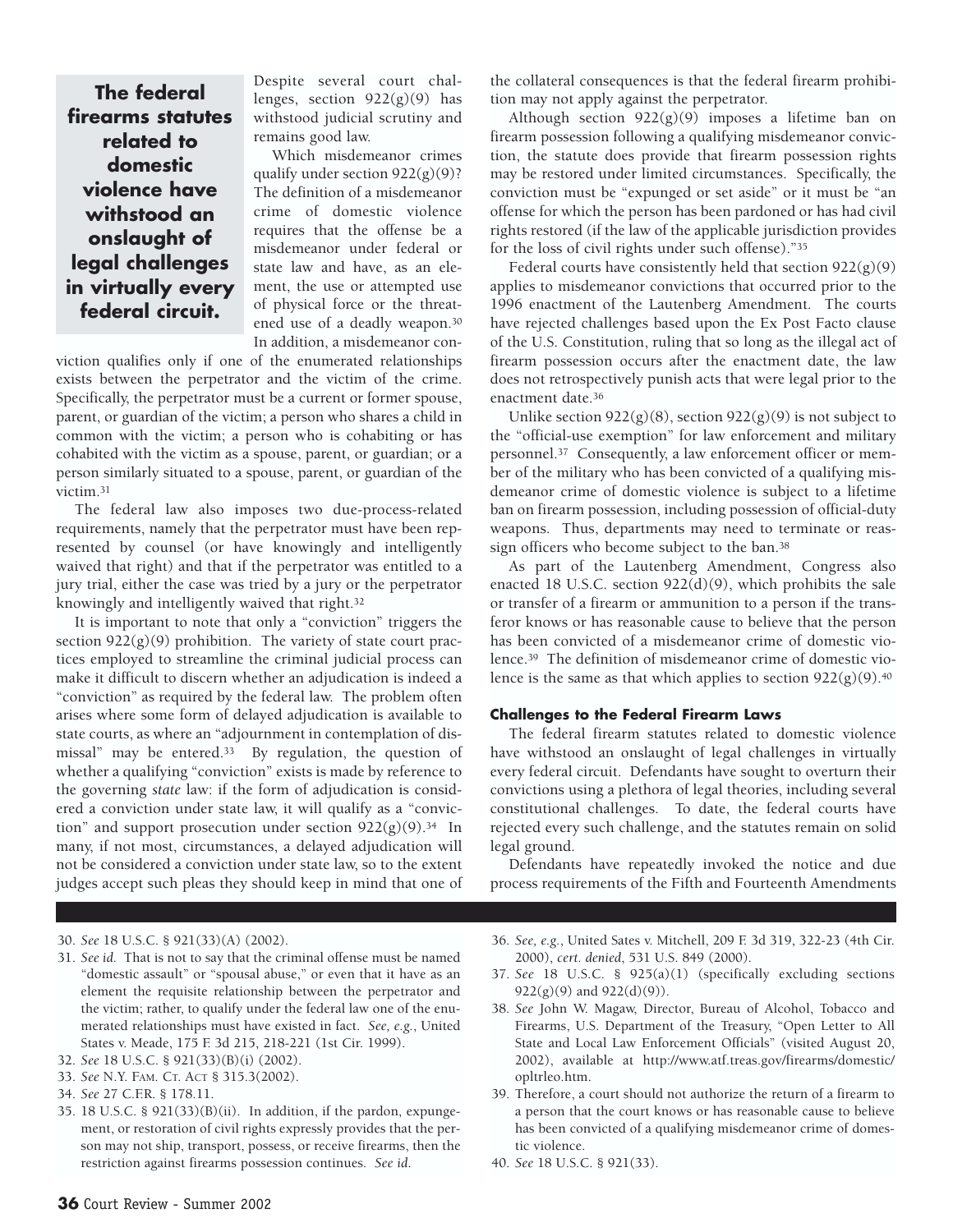**The federal firearms statutes related to domestic violence have withstood an onslaught of legal challenges in virtually every federal circuit.**

Despite several court challenges, section  $922(g)(9)$  has withstood judicial scrutiny and remains good law.

Which misdemeanor crimes qualify under section  $922(g)(9)$ ? The definition of a misdemeanor crime of domestic violence requires that the offense be a misdemeanor under federal or state law and have, as an element, the use or attempted use of physical force or the threatened use of a deadly weapon.30 In addition, a misdemeanor con-

viction qualifies only if one of the enumerated relationships exists between the perpetrator and the victim of the crime. Specifically, the perpetrator must be a current or former spouse, parent, or guardian of the victim; a person who shares a child in common with the victim; a person who is cohabiting or has cohabited with the victim as a spouse, parent, or guardian; or a person similarly situated to a spouse, parent, or guardian of the victim.31

The federal law also imposes two due-process-related requirements, namely that the perpetrator must have been represented by counsel (or have knowingly and intelligently waived that right) and that if the perpetrator was entitled to a jury trial, either the case was tried by a jury or the perpetrator knowingly and intelligently waived that right.32

It is important to note that only a "conviction" triggers the section  $922(g)(9)$  prohibition. The variety of state court practices employed to streamline the criminal judicial process can make it difficult to discern whether an adjudication is indeed a "conviction" as required by the federal law. The problem often arises where some form of delayed adjudication is available to state courts, as where an "adjournment in contemplation of dismissal" may be entered.33 By regulation, the question of whether a qualifying "conviction" exists is made by reference to the governing *state* law: if the form of adjudication is considered a conviction under state law, it will qualify as a "conviction" and support prosecution under section  $922(g)(9)$ .<sup>34</sup> In many, if not most, circumstances, a delayed adjudication will not be considered a conviction under state law, so to the extent judges accept such pleas they should keep in mind that one of

the collateral consequences is that the federal firearm prohibition may not apply against the perpetrator.

Although section  $922(g)(9)$  imposes a lifetime ban on firearm possession following a qualifying misdemeanor conviction, the statute does provide that firearm possession rights may be restored under limited circumstances. Specifically, the conviction must be "expunged or set aside" or it must be "an offense for which the person has been pardoned or has had civil rights restored (if the law of the applicable jurisdiction provides for the loss of civil rights under such offense)."35

Federal courts have consistently held that section  $922(g)(9)$ applies to misdemeanor convictions that occurred prior to the 1996 enactment of the Lautenberg Amendment. The courts have rejected challenges based upon the Ex Post Facto clause of the U.S. Constitution, ruling that so long as the illegal act of firearm possession occurs after the enactment date, the law does not retrospectively punish acts that were legal prior to the enactment date.36

Unlike section  $922(g)(8)$ , section  $922(g)(9)$  is not subject to the "official-use exemption" for law enforcement and military personnel.37 Consequently, a law enforcement officer or member of the military who has been convicted of a qualifying misdemeanor crime of domestic violence is subject to a lifetime ban on firearm possession, including possession of official-duty weapons. Thus, departments may need to terminate or reassign officers who become subject to the ban.38

As part of the Lautenberg Amendment, Congress also enacted 18 U.S.C. section 922(d)(9), which prohibits the sale or transfer of a firearm or ammunition to a person if the transferor knows or has reasonable cause to believe that the person has been convicted of a misdemeanor crime of domestic violence.39 The definition of misdemeanor crime of domestic violence is the same as that which applies to section  $922(g)(9)$ .<sup>40</sup>

### **Challenges to the Federal Firearm Laws**

The federal firearm statutes related to domestic violence have withstood an onslaught of legal challenges in virtually every federal circuit. Defendants have sought to overturn their convictions using a plethora of legal theories, including several constitutional challenges. To date, the federal courts have rejected every such challenge, and the statutes remain on solid legal ground.

Defendants have repeatedly invoked the notice and due process requirements of the Fifth and Fourteenth Amendments

- 30. *See* 18 U.S.C. § 921(33)(A) (2002).
- 31. *See id.* That is not to say that the criminal offense must be named "domestic assault" or "spousal abuse," or even that it have as an element the requisite relationship between the perpetrator and the victim; rather, to qualify under the federal law one of the enumerated relationships must have existed in fact. *See, e.g.*, United States v. Meade, 175 F. 3d 215, 218-221 (1st Cir. 1999).
- 32. *See* 18 U.S.C. § 921(33)(B)(i) (2002).
- 33. *See* N.Y. FAM. CT. ACT § 315.3(2002).
- 34. *See* 27 C.F.R. § 178.11.
- 35. 18 U.S.C. § 921(33)(B)(ii). In addition, if the pardon, expungement, or restoration of civil rights expressly provides that the person may not ship, transport, possess, or receive firearms, then the restriction against firearms possession continues. *See id*.
- 36. *See, e.g.*, United Sates v. Mitchell, 209 F. 3d 319, 322-23 (4th Cir. 2000), *cert. denied*, 531 U.S. 849 (2000).
- 37. *See* 18 U.S.C. § 925(a)(1) (specifically excluding sections  $922(g)(9)$  and  $922(d)(9)$ ).
- 38. *See* John W. Magaw, Director, Bureau of Alcohol, Tobacco and Firearms, U.S. Department of the Treasury, "Open Letter to All State and Local Law Enforcement Officials" (visited August 20, 2002), available at http://www.atf.treas.gov/firearms/domestic/ opltrleo.htm.
- 39. Therefore, a court should not authorize the return of a firearm to a person that the court knows or has reasonable cause to believe has been convicted of a qualifying misdemeanor crime of domestic violence.
- 40. *See* 18 U.S.C. § 921(33).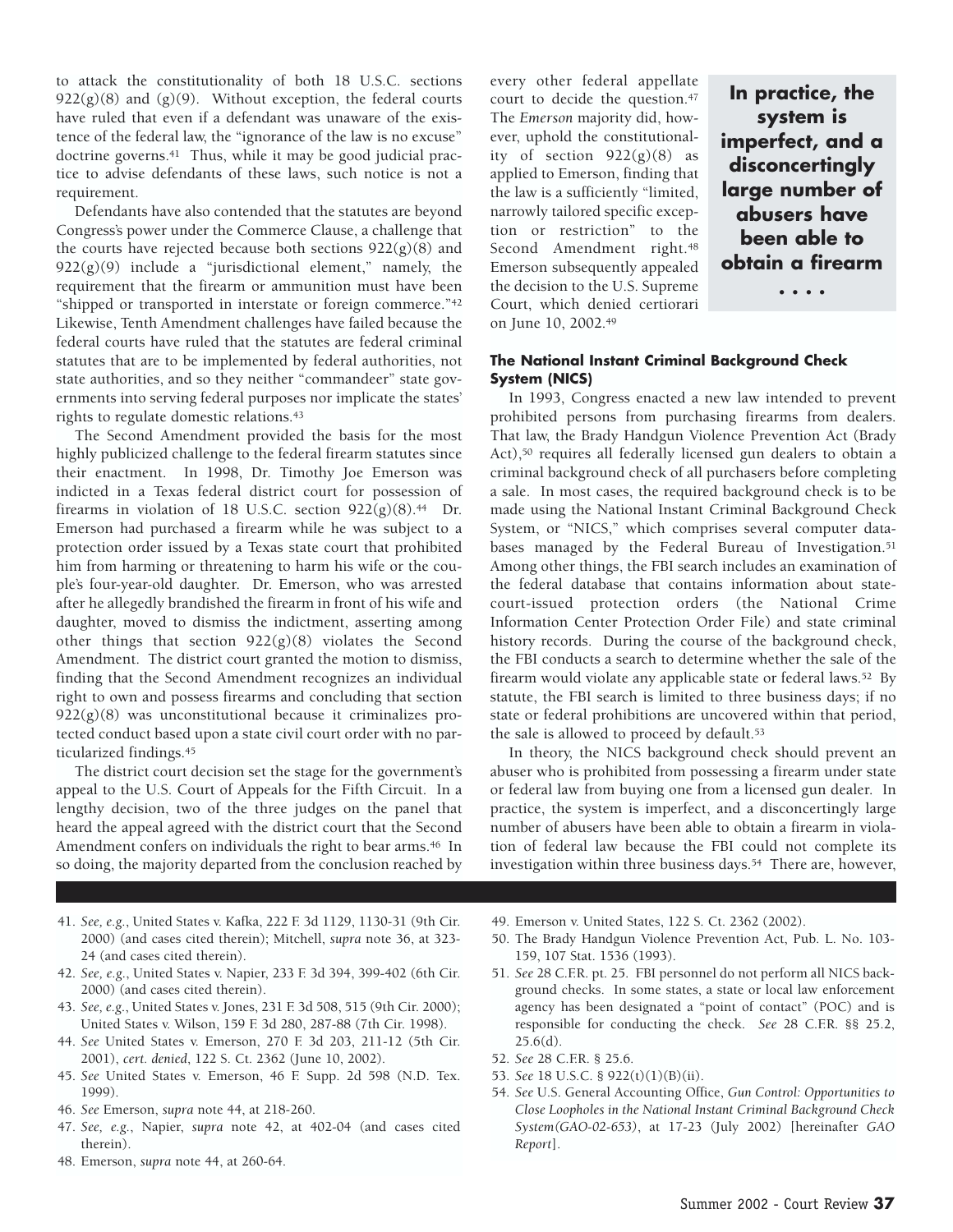to attack the constitutionality of both 18 U.S.C. sections  $922(g)(8)$  and  $(g)(9)$ . Without exception, the federal courts have ruled that even if a defendant was unaware of the existence of the federal law, the "ignorance of the law is no excuse" doctrine governs.<sup>41</sup> Thus, while it may be good judicial practice to advise defendants of these laws, such notice is not a requirement.

Defendants have also contended that the statutes are beyond Congress's power under the Commerce Clause, a challenge that the courts have rejected because both sections  $922(g)(8)$  and  $922(g)(9)$  include a "jurisdictional element," namely, the requirement that the firearm or ammunition must have been "shipped or transported in interstate or foreign commerce."42 Likewise, Tenth Amendment challenges have failed because the federal courts have ruled that the statutes are federal criminal statutes that are to be implemented by federal authorities, not state authorities, and so they neither "commandeer" state governments into serving federal purposes nor implicate the states' rights to regulate domestic relations.43

The Second Amendment provided the basis for the most highly publicized challenge to the federal firearm statutes since their enactment. In 1998, Dr. Timothy Joe Emerson was indicted in a Texas federal district court for possession of firearms in violation of 18 U.S.C. section  $922(g)(8).44$  Dr. Emerson had purchased a firearm while he was subject to a protection order issued by a Texas state court that prohibited him from harming or threatening to harm his wife or the couple's four-year-old daughter. Dr. Emerson, who was arrested after he allegedly brandished the firearm in front of his wife and daughter, moved to dismiss the indictment, asserting among other things that section 922(g)(8) violates the Second Amendment. The district court granted the motion to dismiss, finding that the Second Amendment recognizes an individual right to own and possess firearms and concluding that section 922(g)(8) was unconstitutional because it criminalizes protected conduct based upon a state civil court order with no particularized findings.45

The district court decision set the stage for the government's appeal to the U.S. Court of Appeals for the Fifth Circuit. In a lengthy decision, two of the three judges on the panel that heard the appeal agreed with the district court that the Second Amendment confers on individuals the right to bear arms.<sup>46</sup> In so doing, the majority departed from the conclusion reached by every other federal appellate court to decide the question.47 The *Emerson* majority did, however, uphold the constitutionality of section  $922(g)(8)$  as applied to Emerson, finding that the law is a sufficiently "limited, narrowly tailored specific exception or restriction" to the Second Amendment right.<sup>48</sup> Emerson subsequently appealed the decision to the U.S. Supreme Court, which denied certiorari on June 10, 2002.49

**In practice, the system is imperfect, and a disconcertingly large number of abusers have been able to obtain a firearm**

**. . . .**

## **The National Instant Criminal Background Check System (NICS)**

In 1993, Congress enacted a new law intended to prevent prohibited persons from purchasing firearms from dealers. That law, the Brady Handgun Violence Prevention Act (Brady Act),50 requires all federally licensed gun dealers to obtain a criminal background check of all purchasers before completing a sale. In most cases, the required background check is to be made using the National Instant Criminal Background Check System, or "NICS," which comprises several computer databases managed by the Federal Bureau of Investigation.<sup>51</sup> Among other things, the FBI search includes an examination of the federal database that contains information about statecourt-issued protection orders (the National Crime Information Center Protection Order File) and state criminal history records. During the course of the background check, the FBI conducts a search to determine whether the sale of the firearm would violate any applicable state or federal laws.52 By statute, the FBI search is limited to three business days; if no state or federal prohibitions are uncovered within that period, the sale is allowed to proceed by default.<sup>53</sup>

In theory, the NICS background check should prevent an abuser who is prohibited from possessing a firearm under state or federal law from buying one from a licensed gun dealer. In practice, the system is imperfect, and a disconcertingly large number of abusers have been able to obtain a firearm in violation of federal law because the FBI could not complete its investigation within three business days.54 There are, however,

- 41. *See, e.g.*, United States v. Kafka, 222 F. 3d 1129, 1130-31 (9th Cir. 2000) (and cases cited therein); Mitchell, *supra* note 36, at 323- 24 (and cases cited therein).
- 42. *See, e.g*., United States v. Napier, 233 F. 3d 394, 399-402 (6th Cir. 2000) (and cases cited therein).
- 43. *See, e.g*., United States v. Jones, 231 F. 3d 508, 515 (9th Cir. 2000); United States v. Wilson, 159 F. 3d 280, 287-88 (7th Cir. 1998).
- 44. *See* United States v. Emerson, 270 F. 3d 203, 211-12 (5th Cir. 2001), *cert. denied*, 122 S. Ct. 2362 (June 10, 2002).
- 45. *See* United States v. Emerson, 46 F. Supp. 2d 598 (N.D. Tex. 1999).
- 46. *See* Emerson, *supra* note 44, at 218-260.
- 47. *See, e.g.*, Napier, *supra* note 42, at 402-04 (and cases cited therein).
- 48. Emerson, *supra* note 44, at 260-64.
- 49. Emerson v. United States, 122 S. Ct. 2362 (2002).
- 50. The Brady Handgun Violence Prevention Act, Pub. L. No. 103- 159, 107 Stat. 1536 (1993).
- 51. *See* 28 C.F.R. pt. 25. FBI personnel do not perform all NICS background checks. In some states, a state or local law enforcement agency has been designated a "point of contact" (POC) and is responsible for conducting the check. *See* 28 C.F.R. §§ 25.2,  $25.6(d)$ .
- 52. *See* 28 C.F.R. § 25.6.
- 53. *See* 18 U.S.C. § 922(t)(1)(B)(ii).
- 54. *See* U.S. General Accounting Office, *Gun Control: Opportunities to Close Loopholes in the National Instant Criminal Background Check System(GAO-02-653)*, at 17-23 (July 2002) [hereinafter *GAO Report*].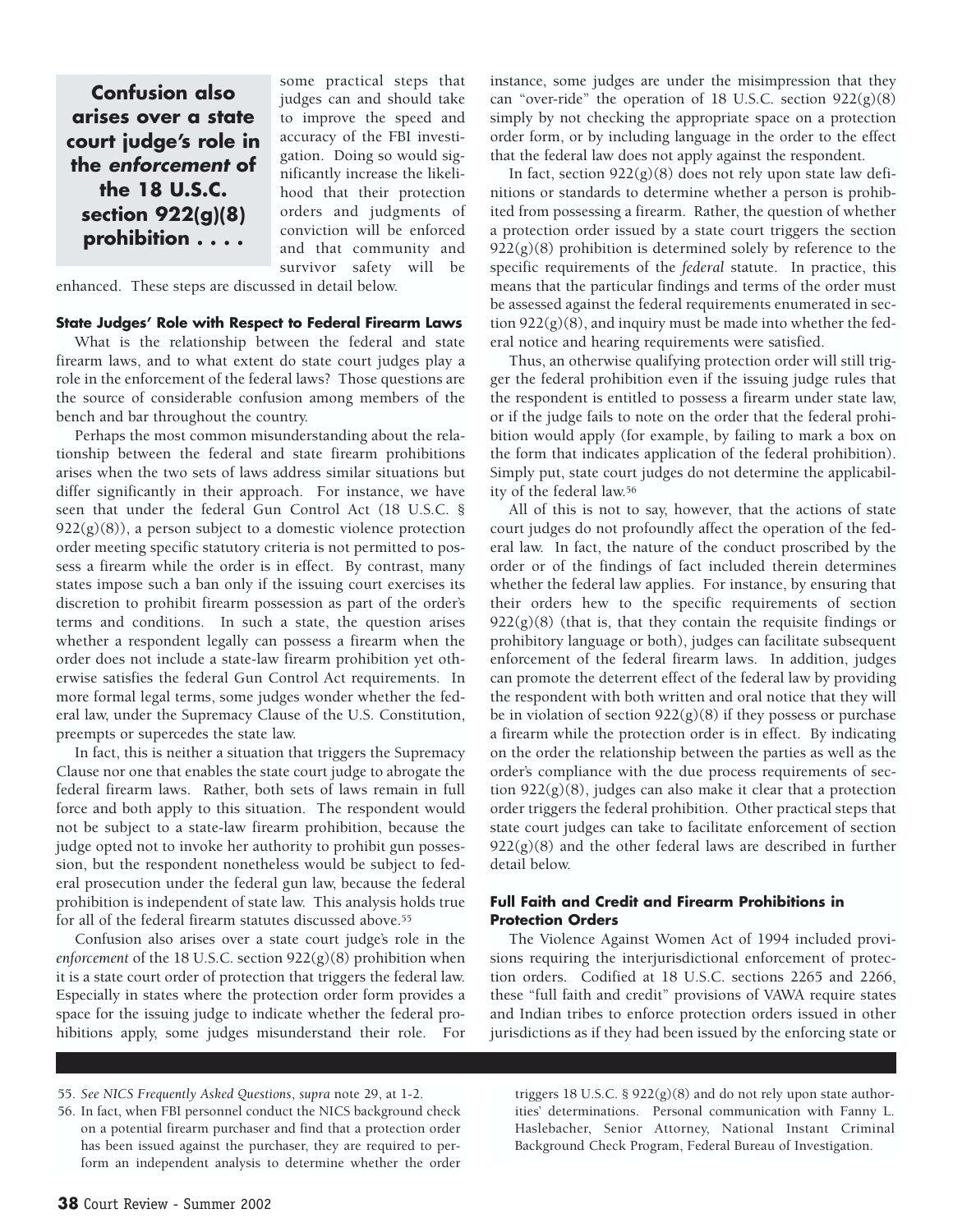**Confusion also arises over a state court judge's role in the** *enforcement* **of the 18 U.S.C. section 922(g)(8) prohibition . . . .**

some practical steps that judges can and should take to improve the speed and accuracy of the FBI investigation. Doing so would significantly increase the likelihood that their protection orders and judgments of conviction will be enforced and that community and survivor safety will be

enhanced. These steps are discussed in detail below.

## **State Judges' Role with Respect to Federal Firearm Laws**

What is the relationship between the federal and state firearm laws, and to what extent do state court judges play a role in the enforcement of the federal laws? Those questions are the source of considerable confusion among members of the bench and bar throughout the country.

Perhaps the most common misunderstanding about the relationship between the federal and state firearm prohibitions arises when the two sets of laws address similar situations but differ significantly in their approach. For instance, we have seen that under the federal Gun Control Act (18 U.S.C. §  $922(g)(8)$ , a person subject to a domestic violence protection order meeting specific statutory criteria is not permitted to possess a firearm while the order is in effect. By contrast, many states impose such a ban only if the issuing court exercises its discretion to prohibit firearm possession as part of the order's terms and conditions. In such a state, the question arises whether a respondent legally can possess a firearm when the order does not include a state-law firearm prohibition yet otherwise satisfies the federal Gun Control Act requirements. In more formal legal terms, some judges wonder whether the federal law, under the Supremacy Clause of the U.S. Constitution, preempts or supercedes the state law.

In fact, this is neither a situation that triggers the Supremacy Clause nor one that enables the state court judge to abrogate the federal firearm laws. Rather, both sets of laws remain in full force and both apply to this situation. The respondent would not be subject to a state-law firearm prohibition, because the judge opted not to invoke her authority to prohibit gun possession, but the respondent nonetheless would be subject to federal prosecution under the federal gun law, because the federal prohibition is independent of state law. This analysis holds true for all of the federal firearm statutes discussed above.55

Confusion also arises over a state court judge's role in the *enforcement* of the 18 U.S.C. section 922(g)(8) prohibition when it is a state court order of protection that triggers the federal law. Especially in states where the protection order form provides a space for the issuing judge to indicate whether the federal prohibitions apply, some judges misunderstand their role. For instance, some judges are under the misimpression that they can "over-ride" the operation of 18 U.S.C. section  $922(g)(8)$ simply by not checking the appropriate space on a protection order form, or by including language in the order to the effect that the federal law does not apply against the respondent.

In fact, section  $922(g)(8)$  does not rely upon state law definitions or standards to determine whether a person is prohibited from possessing a firearm. Rather, the question of whether a protection order issued by a state court triggers the section  $922(g)(8)$  prohibition is determined solely by reference to the specific requirements of the *federal* statute. In practice, this means that the particular findings and terms of the order must be assessed against the federal requirements enumerated in section  $922(g)(8)$ , and inquiry must be made into whether the federal notice and hearing requirements were satisfied.

Thus, an otherwise qualifying protection order will still trigger the federal prohibition even if the issuing judge rules that the respondent is entitled to possess a firearm under state law, or if the judge fails to note on the order that the federal prohibition would apply (for example, by failing to mark a box on the form that indicates application of the federal prohibition). Simply put, state court judges do not determine the applicability of the federal law.56

All of this is not to say, however, that the actions of state court judges do not profoundly affect the operation of the federal law. In fact, the nature of the conduct proscribed by the order or of the findings of fact included therein determines whether the federal law applies. For instance, by ensuring that their orders hew to the specific requirements of section  $922(g)(8)$  (that is, that they contain the requisite findings or prohibitory language or both), judges can facilitate subsequent enforcement of the federal firearm laws. In addition, judges can promote the deterrent effect of the federal law by providing the respondent with both written and oral notice that they will be in violation of section  $922(g)(8)$  if they possess or purchase a firearm while the protection order is in effect. By indicating on the order the relationship between the parties as well as the order's compliance with the due process requirements of section  $922(g)(8)$ , judges can also make it clear that a protection order triggers the federal prohibition. Other practical steps that state court judges can take to facilitate enforcement of section  $922(g)(8)$  and the other federal laws are described in further detail below.

## **Full Faith and Credit and Firearm Prohibitions in Protection Orders**

The Violence Against Women Act of 1994 included provisions requiring the interjurisdictional enforcement of protection orders. Codified at 18 U.S.C. sections 2265 and 2266, these "full faith and credit" provisions of VAWA require states and Indian tribes to enforce protection orders issued in other jurisdictions as if they had been issued by the enforcing state or

55. *See NICS Frequently Asked Questions*, *supra* note 29, at 1-2.

triggers 18 U.S.C. § 922(g)(8) and do not rely upon state authorities' determinations. Personal communication with Fanny L. Haslebacher, Senior Attorney, National Instant Criminal Background Check Program, Federal Bureau of Investigation.

<sup>56.</sup> In fact, when FBI personnel conduct the NICS background check on a potential firearm purchaser and find that a protection order has been issued against the purchaser, they are required to perform an independent analysis to determine whether the order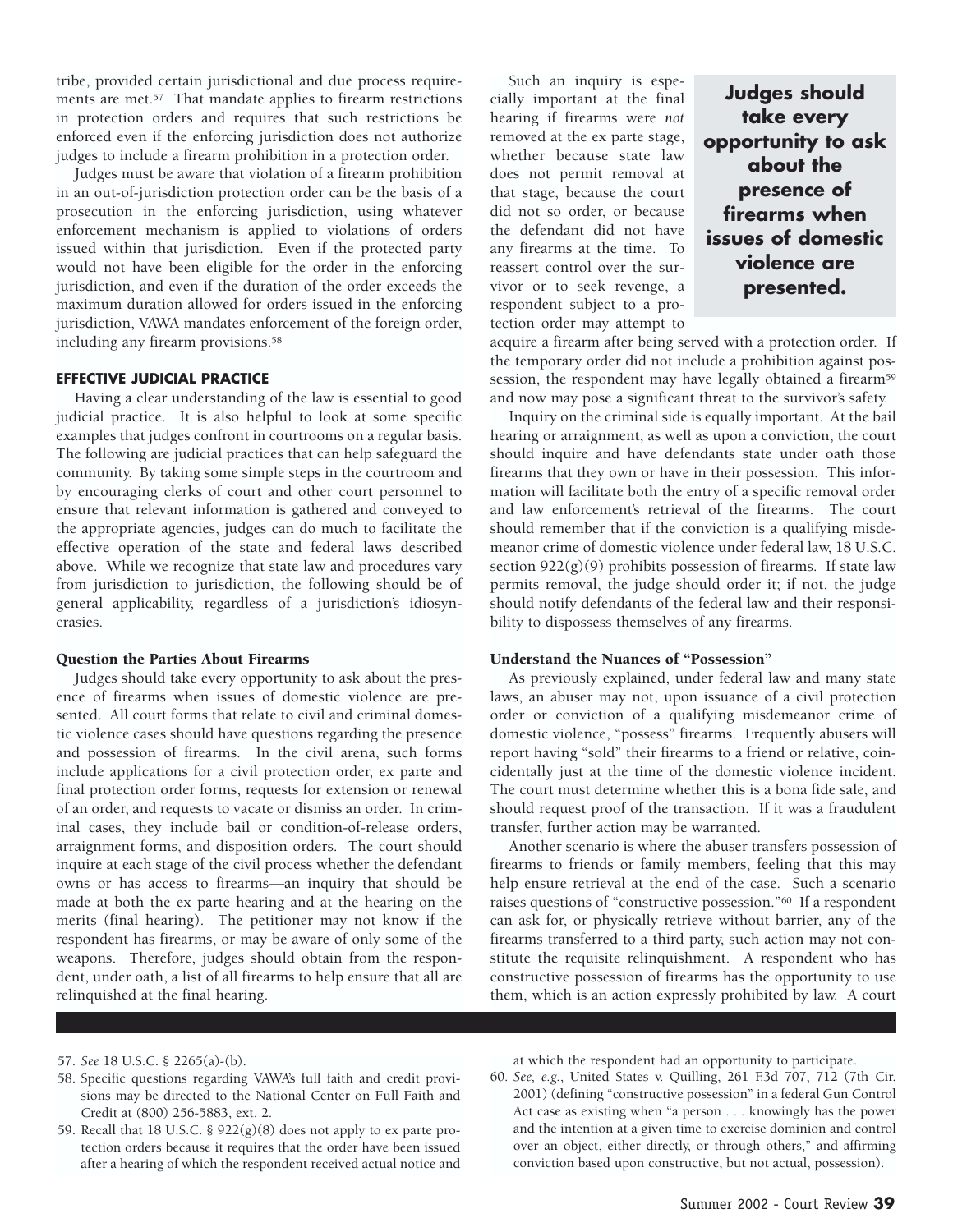tribe, provided certain jurisdictional and due process requirements are met.57 That mandate applies to firearm restrictions in protection orders and requires that such restrictions be enforced even if the enforcing jurisdiction does not authorize judges to include a firearm prohibition in a protection order.

Judges must be aware that violation of a firearm prohibition in an out-of-jurisdiction protection order can be the basis of a prosecution in the enforcing jurisdiction, using whatever enforcement mechanism is applied to violations of orders issued within that jurisdiction. Even if the protected party would not have been eligible for the order in the enforcing jurisdiction, and even if the duration of the order exceeds the maximum duration allowed for orders issued in the enforcing jurisdiction, VAWA mandates enforcement of the foreign order, including any firearm provisions.58

## **EFFECTIVE JUDICIAL PRACTICE**

Having a clear understanding of the law is essential to good judicial practice. It is also helpful to look at some specific examples that judges confront in courtrooms on a regular basis. The following are judicial practices that can help safeguard the community. By taking some simple steps in the courtroom and by encouraging clerks of court and other court personnel to ensure that relevant information is gathered and conveyed to the appropriate agencies, judges can do much to facilitate the effective operation of the state and federal laws described above. While we recognize that state law and procedures vary from jurisdiction to jurisdiction, the following should be of general applicability, regardless of a jurisdiction's idiosyncrasies.

#### Question the Parties About Firearms

Judges should take every opportunity to ask about the presence of firearms when issues of domestic violence are presented. All court forms that relate to civil and criminal domestic violence cases should have questions regarding the presence and possession of firearms. In the civil arena, such forms include applications for a civil protection order, ex parte and final protection order forms, requests for extension or renewal of an order, and requests to vacate or dismiss an order. In criminal cases, they include bail or condition-of-release orders, arraignment forms, and disposition orders. The court should inquire at each stage of the civil process whether the defendant owns or has access to firearms—an inquiry that should be made at both the ex parte hearing and at the hearing on the merits (final hearing). The petitioner may not know if the respondent has firearms, or may be aware of only some of the weapons. Therefore, judges should obtain from the respondent, under oath, a list of all firearms to help ensure that all are relinquished at the final hearing.

Such an inquiry is especially important at the final hearing if firearms were *not* removed at the ex parte stage, whether because state law does not permit removal at that stage, because the court did not so order, or because the defendant did not have any firearms at the time. To reassert control over the survivor or to seek revenge, a respondent subject to a protection order may attempt to

**Judges should take every opportunity to ask about the presence of firearms when issues of domestic violence are presented.**

acquire a firearm after being served with a protection order. If the temporary order did not include a prohibition against possession, the respondent may have legally obtained a firearm<sup>59</sup> and now may pose a significant threat to the survivor's safety.

Inquiry on the criminal side is equally important. At the bail hearing or arraignment, as well as upon a conviction, the court should inquire and have defendants state under oath those firearms that they own or have in their possession. This information will facilitate both the entry of a specific removal order and law enforcement's retrieval of the firearms. The court should remember that if the conviction is a qualifying misdemeanor crime of domestic violence under federal law, 18 U.S.C. section  $922(g)(9)$  prohibits possession of firearms. If state law permits removal, the judge should order it; if not, the judge should notify defendants of the federal law and their responsibility to dispossess themselves of any firearms.

### Understand the Nuances of "Possession"

As previously explained, under federal law and many state laws, an abuser may not, upon issuance of a civil protection order or conviction of a qualifying misdemeanor crime of domestic violence, "possess" firearms. Frequently abusers will report having "sold" their firearms to a friend or relative, coincidentally just at the time of the domestic violence incident. The court must determine whether this is a bona fide sale, and should request proof of the transaction. If it was a fraudulent transfer, further action may be warranted.

Another scenario is where the abuser transfers possession of firearms to friends or family members, feeling that this may help ensure retrieval at the end of the case. Such a scenario raises questions of "constructive possession."60 If a respondent can ask for, or physically retrieve without barrier, any of the firearms transferred to a third party, such action may not constitute the requisite relinquishment. A respondent who has constructive possession of firearms has the opportunity to use them, which is an action expressly prohibited by law. A court

#### 57. *See* 18 U.S.C. § 2265(a)-(b).

- 58. Specific questions regarding VAWA's full faith and credit provisions may be directed to the National Center on Full Faith and Credit at (800) 256-5883, ext. 2.
- 59. Recall that 18 U.S.C. §  $922(g)(8)$  does not apply to ex parte protection orders because it requires that the order have been issued after a hearing of which the respondent received actual notice and

at which the respondent had an opportunity to participate.

60. *See, e.g.*, United States v. Quilling, 261 F.3d 707, 712 (7th Cir. 2001) (defining "constructive possession" in a federal Gun Control Act case as existing when "a person . . . knowingly has the power and the intention at a given time to exercise dominion and control over an object, either directly, or through others," and affirming conviction based upon constructive, but not actual, possession).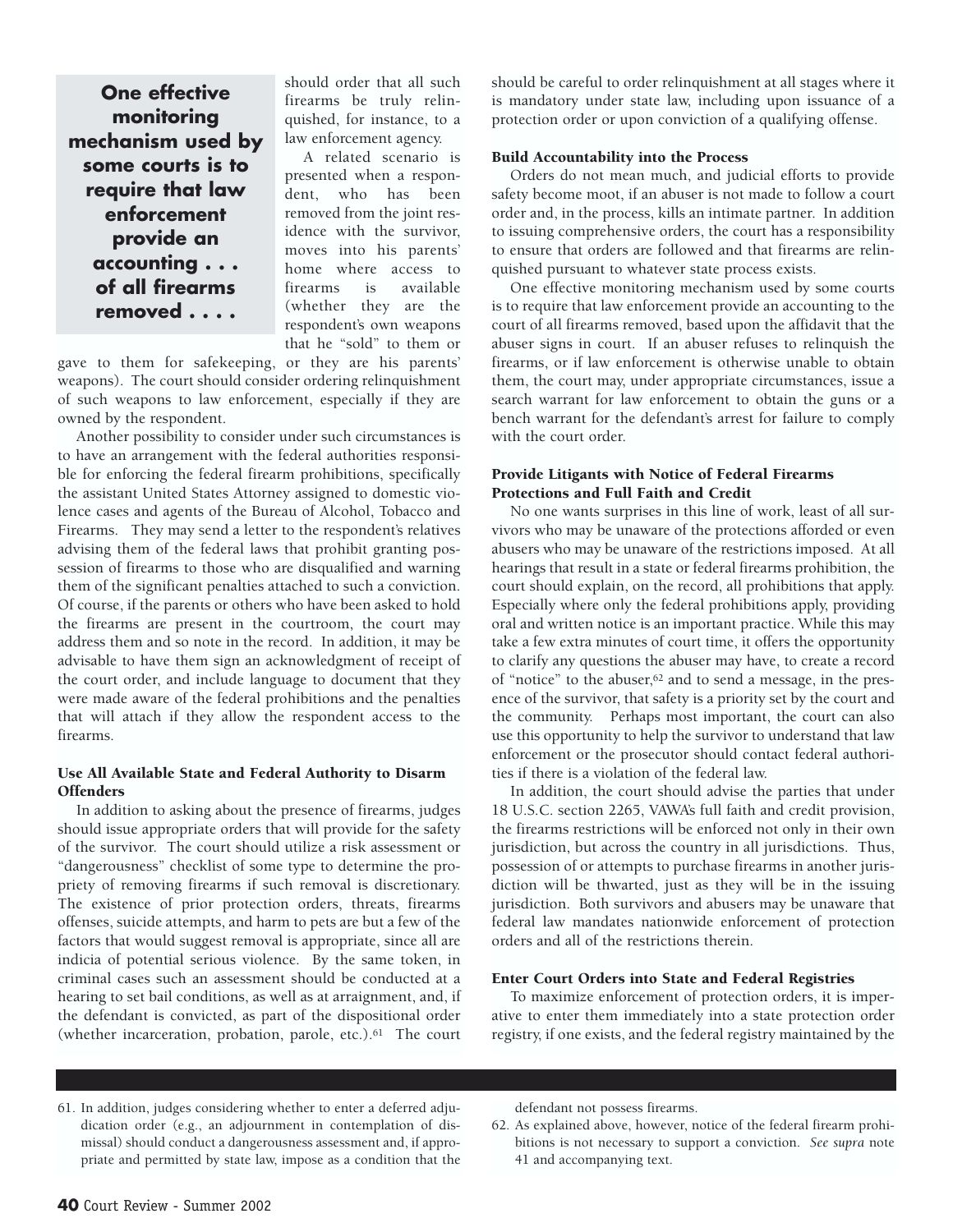**One effective monitoring mechanism used by some courts is to require that law enforcement provide an accounting . . . of all firearms removed . . . .**

should order that all such firearms be truly relinquished, for instance, to a law enforcement agency.

A related scenario is presented when a respondent, who has been removed from the joint residence with the survivor, moves into his parents' home where access to firearms is available (whether they are the respondent's own weapons that he "sold" to them or

gave to them for safekeeping, or they are his parents' weapons). The court should consider ordering relinquishment of such weapons to law enforcement, especially if they are owned by the respondent.

Another possibility to consider under such circumstances is to have an arrangement with the federal authorities responsible for enforcing the federal firearm prohibitions, specifically the assistant United States Attorney assigned to domestic violence cases and agents of the Bureau of Alcohol, Tobacco and Firearms. They may send a letter to the respondent's relatives advising them of the federal laws that prohibit granting possession of firearms to those who are disqualified and warning them of the significant penalties attached to such a conviction. Of course, if the parents or others who have been asked to hold the firearms are present in the courtroom, the court may address them and so note in the record. In addition, it may be advisable to have them sign an acknowledgment of receipt of the court order, and include language to document that they were made aware of the federal prohibitions and the penalties that will attach if they allow the respondent access to the firearms.

## Use All Available State and Federal Authority to Disarm **Offenders**

In addition to asking about the presence of firearms, judges should issue appropriate orders that will provide for the safety of the survivor. The court should utilize a risk assessment or "dangerousness" checklist of some type to determine the propriety of removing firearms if such removal is discretionary. The existence of prior protection orders, threats, firearms offenses, suicide attempts, and harm to pets are but a few of the factors that would suggest removal is appropriate, since all are indicia of potential serious violence. By the same token, in criminal cases such an assessment should be conducted at a hearing to set bail conditions, as well as at arraignment, and, if the defendant is convicted, as part of the dispositional order (whether incarceration, probation, parole, etc.).61 The court should be careful to order relinquishment at all stages where it is mandatory under state law, including upon issuance of a protection order or upon conviction of a qualifying offense.

# Build Accountability into the Process

Orders do not mean much, and judicial efforts to provide safety become moot, if an abuser is not made to follow a court order and, in the process, kills an intimate partner. In addition to issuing comprehensive orders, the court has a responsibility to ensure that orders are followed and that firearms are relinquished pursuant to whatever state process exists.

One effective monitoring mechanism used by some courts is to require that law enforcement provide an accounting to the court of all firearms removed, based upon the affidavit that the abuser signs in court. If an abuser refuses to relinquish the firearms, or if law enforcement is otherwise unable to obtain them, the court may, under appropriate circumstances, issue a search warrant for law enforcement to obtain the guns or a bench warrant for the defendant's arrest for failure to comply with the court order.

# Provide Litigants with Notice of Federal Firearms Protections and Full Faith and Credit

No one wants surprises in this line of work, least of all survivors who may be unaware of the protections afforded or even abusers who may be unaware of the restrictions imposed. At all hearings that result in a state or federal firearms prohibition, the court should explain, on the record, all prohibitions that apply. Especially where only the federal prohibitions apply, providing oral and written notice is an important practice. While this may take a few extra minutes of court time, it offers the opportunity to clarify any questions the abuser may have, to create a record of "notice" to the abuser,<sup>62</sup> and to send a message, in the presence of the survivor, that safety is a priority set by the court and the community. Perhaps most important, the court can also use this opportunity to help the survivor to understand that law enforcement or the prosecutor should contact federal authorities if there is a violation of the federal law.

In addition, the court should advise the parties that under 18 U.S.C. section 2265, VAWA's full faith and credit provision, the firearms restrictions will be enforced not only in their own jurisdiction, but across the country in all jurisdictions. Thus, possession of or attempts to purchase firearms in another jurisdiction will be thwarted, just as they will be in the issuing jurisdiction. Both survivors and abusers may be unaware that federal law mandates nationwide enforcement of protection orders and all of the restrictions therein.

# Enter Court Orders into State and Federal Registries

To maximize enforcement of protection orders, it is imperative to enter them immediately into a state protection order registry, if one exists, and the federal registry maintained by the

61. In addition, judges considering whether to enter a deferred adjudication order (e.g., an adjournment in contemplation of dismissal) should conduct a dangerousness assessment and, if appropriate and permitted by state law, impose as a condition that the defendant not possess firearms.

62. As explained above, however, notice of the federal firearm prohibitions is not necessary to support a conviction. *See supra* note 41 and accompanying text.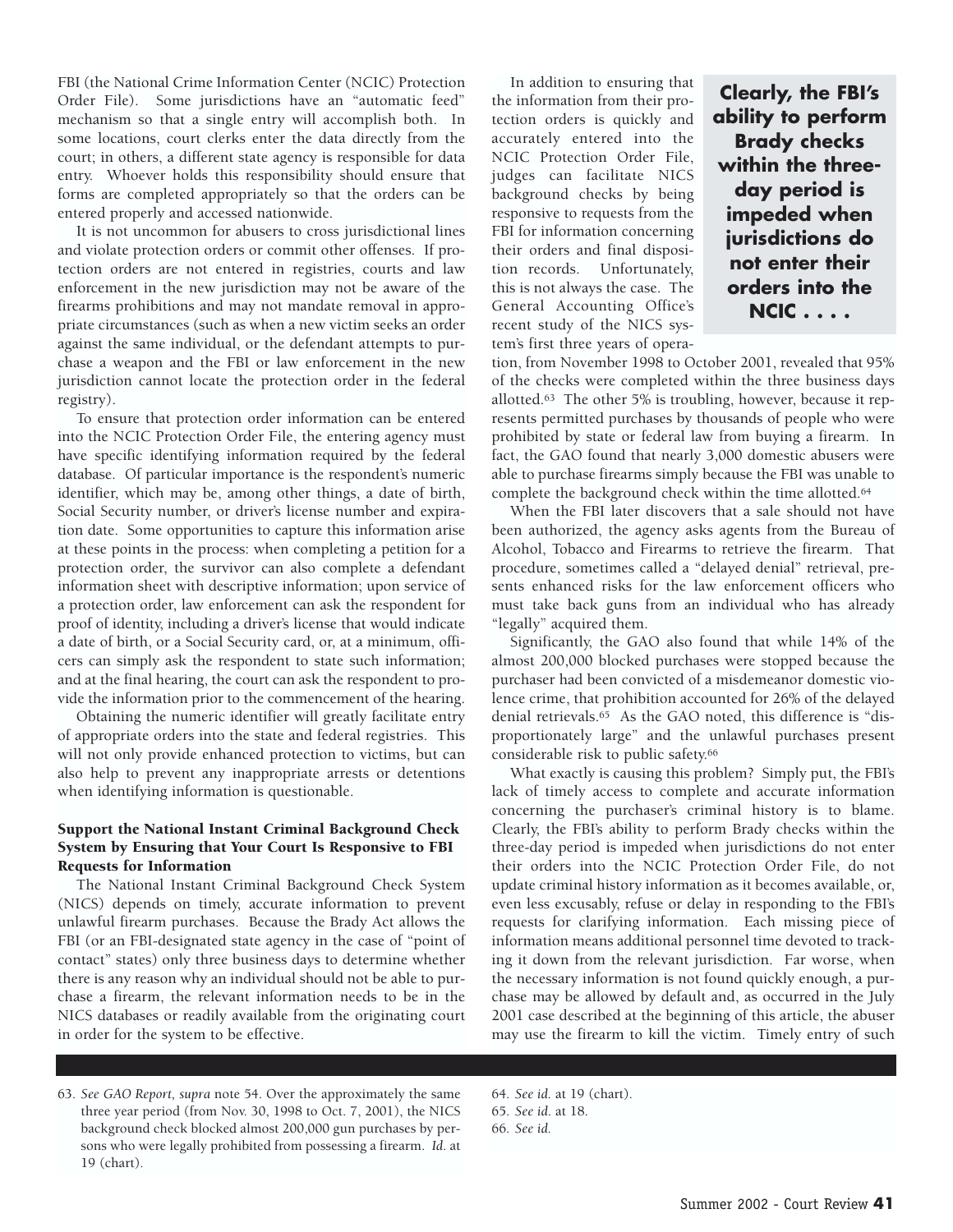FBI (the National Crime Information Center (NCIC) Protection Order File). Some jurisdictions have an "automatic feed" mechanism so that a single entry will accomplish both. In some locations, court clerks enter the data directly from the court; in others, a different state agency is responsible for data entry. Whoever holds this responsibility should ensure that forms are completed appropriately so that the orders can be entered properly and accessed nationwide.

It is not uncommon for abusers to cross jurisdictional lines and violate protection orders or commit other offenses. If protection orders are not entered in registries, courts and law enforcement in the new jurisdiction may not be aware of the firearms prohibitions and may not mandate removal in appropriate circumstances (such as when a new victim seeks an order against the same individual, or the defendant attempts to purchase a weapon and the FBI or law enforcement in the new jurisdiction cannot locate the protection order in the federal registry).

To ensure that protection order information can be entered into the NCIC Protection Order File, the entering agency must have specific identifying information required by the federal database. Of particular importance is the respondent's numeric identifier, which may be, among other things, a date of birth, Social Security number, or driver's license number and expiration date. Some opportunities to capture this information arise at these points in the process: when completing a petition for a protection order, the survivor can also complete a defendant information sheet with descriptive information; upon service of a protection order, law enforcement can ask the respondent for proof of identity, including a driver's license that would indicate a date of birth, or a Social Security card, or, at a minimum, officers can simply ask the respondent to state such information; and at the final hearing, the court can ask the respondent to provide the information prior to the commencement of the hearing.

Obtaining the numeric identifier will greatly facilitate entry of appropriate orders into the state and federal registries. This will not only provide enhanced protection to victims, but can also help to prevent any inappropriate arrests or detentions when identifying information is questionable.

# Support the National Instant Criminal Background Check System by Ensuring that Your Court Is Responsive to FBI Requests for Information

The National Instant Criminal Background Check System (NICS) depends on timely, accurate information to prevent unlawful firearm purchases. Because the Brady Act allows the FBI (or an FBI-designated state agency in the case of "point of contact" states) only three business days to determine whether there is any reason why an individual should not be able to purchase a firearm, the relevant information needs to be in the NICS databases or readily available from the originating court in order for the system to be effective.

In addition to ensuring that the information from their protection orders is quickly and accurately entered into the NCIC Protection Order File, judges can facilitate NICS background checks by being responsive to requests from the FBI for information concerning their orders and final disposition records. Unfortunately, this is not always the case. The General Accounting Office's recent study of the NICS system's first three years of opera-

**Clearly, the FBI's ability to perform Brady checks within the threeday period is impeded when jurisdictions do not enter their orders into the NCIC . . . .**

tion, from November 1998 to October 2001, revealed that 95% of the checks were completed within the three business days allotted.63 The other 5% is troubling, however, because it represents permitted purchases by thousands of people who were prohibited by state or federal law from buying a firearm. In fact, the GAO found that nearly 3,000 domestic abusers were able to purchase firearms simply because the FBI was unable to complete the background check within the time allotted.64

When the FBI later discovers that a sale should not have been authorized, the agency asks agents from the Bureau of Alcohol, Tobacco and Firearms to retrieve the firearm. That procedure, sometimes called a "delayed denial" retrieval, presents enhanced risks for the law enforcement officers who must take back guns from an individual who has already "legally" acquired them.

Significantly, the GAO also found that while 14% of the almost 200,000 blocked purchases were stopped because the purchaser had been convicted of a misdemeanor domestic violence crime, that prohibition accounted for 26% of the delayed denial retrievals.65 As the GAO noted, this difference is "disproportionately large" and the unlawful purchases present considerable risk to public safety.66

What exactly is causing this problem? Simply put, the FBI's lack of timely access to complete and accurate information concerning the purchaser's criminal history is to blame. Clearly, the FBI's ability to perform Brady checks within the three-day period is impeded when jurisdictions do not enter their orders into the NCIC Protection Order File, do not update criminal history information as it becomes available, or, even less excusably, refuse or delay in responding to the FBI's requests for clarifying information. Each missing piece of information means additional personnel time devoted to tracking it down from the relevant jurisdiction. Far worse, when the necessary information is not found quickly enough, a purchase may be allowed by default and, as occurred in the July 2001 case described at the beginning of this article, the abuser may use the firearm to kill the victim. Timely entry of such

63. *See GAO Report, supra* note 54. Over the approximately the same three year period (from Nov. 30, 1998 to Oct. 7, 2001), the NICS background check blocked almost 200,000 gun purchases by persons who were legally prohibited from possessing a firearm. *Id*. at 19 (chart).

64. *See id.* at 19 (chart).

<sup>65.</sup> *See id*. at 18.

<sup>66.</sup> *See id.*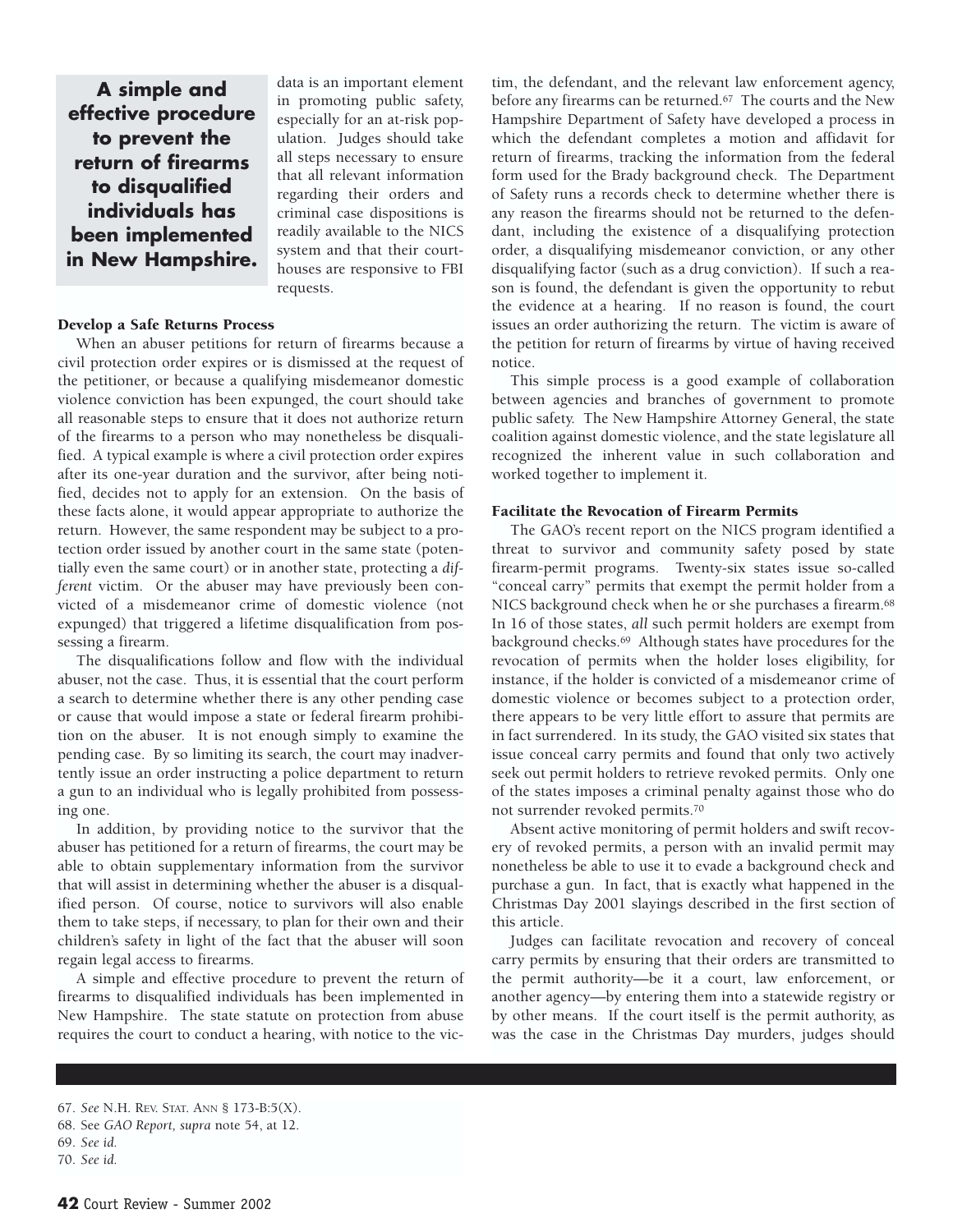**A simple and effective procedure to prevent the return of firearms to disqualified individuals has been implemented in New Hampshire.** data is an important element in promoting public safety, especially for an at-risk population. Judges should take all steps necessary to ensure that all relevant information regarding their orders and criminal case dispositions is readily available to the NICS system and that their courthouses are responsive to FBI requests.

# Develop a Safe Returns Process

When an abuser petitions for return of firearms because a civil protection order expires or is dismissed at the request of the petitioner, or because a qualifying misdemeanor domestic violence conviction has been expunged, the court should take all reasonable steps to ensure that it does not authorize return of the firearms to a person who may nonetheless be disqualified. A typical example is where a civil protection order expires after its one-year duration and the survivor, after being notified, decides not to apply for an extension. On the basis of these facts alone, it would appear appropriate to authorize the return. However, the same respondent may be subject to a protection order issued by another court in the same state (potentially even the same court) or in another state, protecting a *different* victim. Or the abuser may have previously been convicted of a misdemeanor crime of domestic violence (not expunged) that triggered a lifetime disqualification from possessing a firearm.

The disqualifications follow and flow with the individual abuser, not the case. Thus, it is essential that the court perform a search to determine whether there is any other pending case or cause that would impose a state or federal firearm prohibition on the abuser. It is not enough simply to examine the pending case. By so limiting its search, the court may inadvertently issue an order instructing a police department to return a gun to an individual who is legally prohibited from possessing one.

In addition, by providing notice to the survivor that the abuser has petitioned for a return of firearms, the court may be able to obtain supplementary information from the survivor that will assist in determining whether the abuser is a disqualified person. Of course, notice to survivors will also enable them to take steps, if necessary, to plan for their own and their children's safety in light of the fact that the abuser will soon regain legal access to firearms.

A simple and effective procedure to prevent the return of firearms to disqualified individuals has been implemented in New Hampshire. The state statute on protection from abuse requires the court to conduct a hearing, with notice to the victim, the defendant, and the relevant law enforcement agency, before any firearms can be returned.<sup>67</sup> The courts and the New Hampshire Department of Safety have developed a process in which the defendant completes a motion and affidavit for return of firearms, tracking the information from the federal form used for the Brady background check. The Department of Safety runs a records check to determine whether there is any reason the firearms should not be returned to the defendant, including the existence of a disqualifying protection order, a disqualifying misdemeanor conviction, or any other disqualifying factor (such as a drug conviction). If such a reason is found, the defendant is given the opportunity to rebut the evidence at a hearing. If no reason is found, the court issues an order authorizing the return. The victim is aware of the petition for return of firearms by virtue of having received notice.

This simple process is a good example of collaboration between agencies and branches of government to promote public safety. The New Hampshire Attorney General, the state coalition against domestic violence, and the state legislature all recognized the inherent value in such collaboration and worked together to implement it.

#### Facilitate the Revocation of Firearm Permits

The GAO's recent report on the NICS program identified a threat to survivor and community safety posed by state firearm-permit programs. Twenty-six states issue so-called "conceal carry" permits that exempt the permit holder from a NICS background check when he or she purchases a firearm.<sup>68</sup> In 16 of those states, *all* such permit holders are exempt from background checks.69 Although states have procedures for the revocation of permits when the holder loses eligibility, for instance, if the holder is convicted of a misdemeanor crime of domestic violence or becomes subject to a protection order, there appears to be very little effort to assure that permits are in fact surrendered. In its study, the GAO visited six states that issue conceal carry permits and found that only two actively seek out permit holders to retrieve revoked permits. Only one of the states imposes a criminal penalty against those who do not surrender revoked permits.70

Absent active monitoring of permit holders and swift recovery of revoked permits, a person with an invalid permit may nonetheless be able to use it to evade a background check and purchase a gun. In fact, that is exactly what happened in the Christmas Day 2001 slayings described in the first section of this article.

Judges can facilitate revocation and recovery of conceal carry permits by ensuring that their orders are transmitted to the permit authority—be it a court, law enforcement, or another agency—by entering them into a statewide registry or by other means. If the court itself is the permit authority, as was the case in the Christmas Day murders, judges should

<sup>67.</sup> *See* N.H. REV. STAT. ANN § 173-B:5(X).

<sup>68.</sup> See *GAO Report, supra* note 54, at 12.

<sup>69.</sup> *See id.*